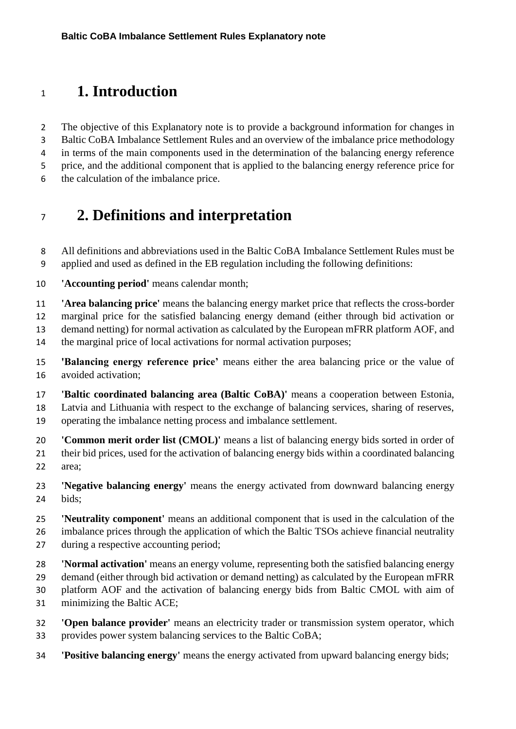#### **1. Introduction**

 The objective of this Explanatory note is to provide a background information for changes in Baltic CoBA Imbalance Settlement Rules and an overview of the imbalance price methodology in terms of the main components used in the determination of the balancing energy reference price, and the additional component that is applied to the balancing energy reference price for the calculation of the imbalance price.

### **2. Definitions and interpretation**

 All definitions and abbreviations used in the Baltic CoBA Imbalance Settlement Rules must be applied and used as defined in the EB regulation including the following definitions:

**'Accounting period'** means calendar month;

 **'Area balancing price'** means the balancing energy market price that reflects the cross-border marginal price for the satisfied balancing energy demand (either through bid activation or demand netting) for normal activation as calculated by the European mFRR platform AOF, and

the marginal price of local activations for normal activation purposes;

 **'Balancing energy reference price'** means either the area balancing price or the value of avoided activation;

 **'Baltic coordinated balancing area (Baltic CoBA)'** means a cooperation between Estonia, Latvia and Lithuania with respect to the exchange of balancing services, sharing of reserves, operating the imbalance netting process and imbalance settlement.

 **'Common merit order list (CMOL)'** means a list of balancing energy bids sorted in order of their bid prices, used for the activation of balancing energy bids within a coordinated balancing area;

 **'Negative balancing energy'** means the energy activated from downward balancing energy bids;

 **'Neutrality component'** means an additional component that is used in the calculation of the imbalance prices through the application of which the Baltic TSOs achieve financial neutrality during a respective accounting period;

 **'Normal activation'** means an energy volume, representing both the satisfied balancing energy demand (either through bid activation or demand netting) as calculated by the European mFRR platform AOF and the activation of balancing energy bids from Baltic CMOL with aim of

minimizing the Baltic ACE;

- **'Open balance provider'** means an electricity trader or transmission system operator, which provides power system balancing services to the Baltic CoBA;
- **'Positive balancing energy'** means the energy activated from upward balancing energy bids;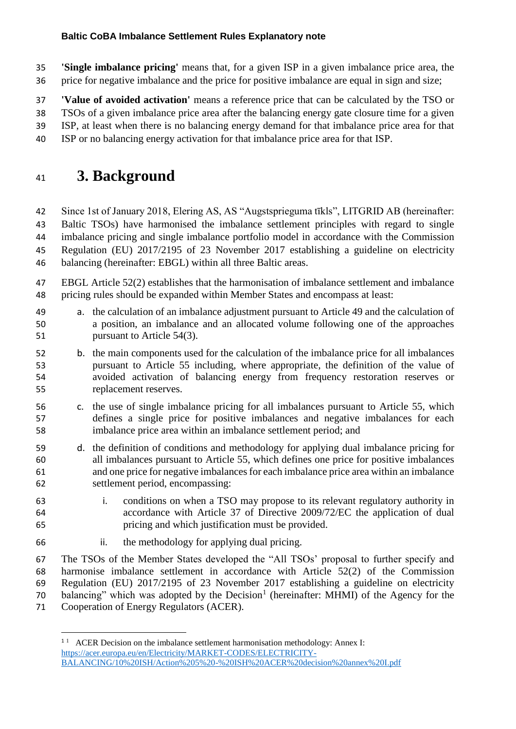**'Single imbalance pricing'** means that, for a given ISP in a given imbalance price area, the price for negative imbalance and the price for positive imbalance are equal in sign and size;

 **'Value of avoided activation'** means a reference price that can be calculated by the TSO or TSOs of a given imbalance price area after the balancing energy gate closure time for a given ISP, at least when there is no balancing energy demand for that imbalance price area for that

ISP or no balancing energy activation for that imbalance price area for that ISP.

### **3. Background**

 Since 1st of January 2018, Elering AS, AS "Augstsprieguma tīkls", LITGRID AB (hereinafter: Baltic TSOs) have harmonised the imbalance settlement principles with regard to single imbalance pricing and single imbalance portfolio model in accordance with the Commission Regulation (EU) 2017/2195 of 23 November 2017 establishing a guideline on electricity balancing (hereinafter: EBGL) within all three Baltic areas.

- EBGL Article 52(2) establishes that the harmonisation of imbalance settlement and imbalance pricing rules should be expanded within Member States and encompass at least:
- a. the calculation of an imbalance adjustment pursuant to Article 49 and the calculation of a position, an imbalance and an allocated volume following one of the approaches 51 pursuant to Article 54(3).
- b. the main components used for the calculation of the imbalance price for all imbalances pursuant to Article 55 including, where appropriate, the definition of the value of avoided activation of balancing energy from frequency restoration reserves or replacement reserves.
- c. the use of single imbalance pricing for all imbalances pursuant to Article 55, which defines a single price for positive imbalances and negative imbalances for each imbalance price area within an imbalance settlement period; and
- d. the definition of conditions and methodology for applying dual imbalance pricing for all imbalances pursuant to Article 55, which defines one price for positive imbalances and one price for negative imbalances for each imbalance price area within an imbalance settlement period, encompassing:
- i. conditions on when a TSO may propose to its relevant regulatory authority in accordance with Article 37 of Directive 2009/72/EC the application of dual pricing and which justification must be provided.
- ii. the methodology for applying dual pricing.

**.** 

 The TSOs of the Member States developed the "All TSOs' proposal to further specify and harmonise imbalance settlement in accordance with Article 52(2) of the Commission Regulation (EU) 2017/2195 of 23 November 2017 establishing a guideline on electricity 70 balancing" which was adopted by the Decision<sup>1</sup> (hereinafter: MHMI) of the Agency for the Cooperation of Energy Regulators (ACER).

<sup>&</sup>lt;sup>11</sup> ACER Decision on the imbalance settlement harmonisation methodology: Annex I: [https://acer.europa.eu/en/Electricity/MARKET-CODES/ELECTRICITY-](https://acer.europa.eu/en/Electricity/MARKET-CODES/ELECTRICITY-BALANCING/10%20ISH/Action%205%20-%20ISH%20ACER%20decision%20annex%20I.pdf)[BALANCING/10%20ISH/Action%205%20-%20ISH%20ACER%20decision%20annex%20I.pdf](https://acer.europa.eu/en/Electricity/MARKET-CODES/ELECTRICITY-BALANCING/10%20ISH/Action%205%20-%20ISH%20ACER%20decision%20annex%20I.pdf)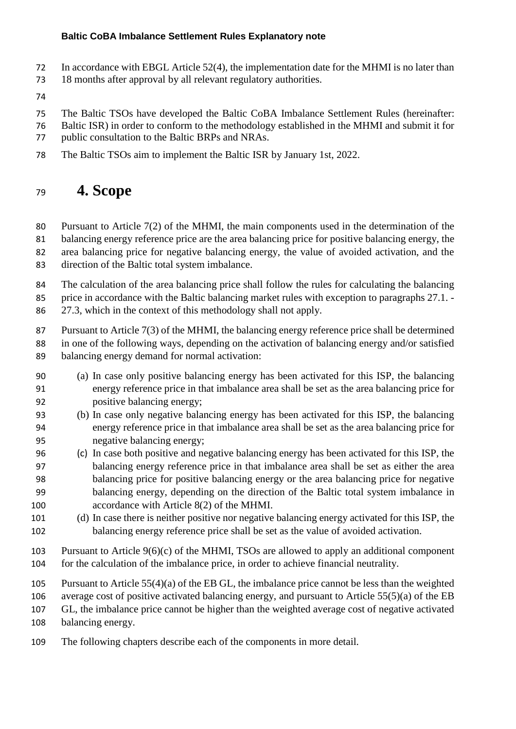- In accordance with EBGL Article 52(4), the implementation date for the MHMI is no later than
- 18 months after approval by all relevant regulatory authorities.
- 
- The Baltic TSOs have developed the Baltic CoBA Imbalance Settlement Rules (hereinafter:
- Baltic ISR) in order to conform to the methodology established in the MHMI and submit it for
- public consultation to the Baltic BRPs and NRAs.
- The Baltic TSOs aim to implement the Baltic ISR by January 1st, 2022.

### **4. Scope**

 Pursuant to Article 7(2) of the MHMI, the main components used in the determination of the balancing energy reference price are the area balancing price for positive balancing energy, the area balancing price for negative balancing energy, the value of avoided activation, and the

direction of the Baltic total system imbalance.

The calculation of the area balancing price shall follow the rules for calculating the balancing

85 price in accordance with the Baltic balancing market rules with exception to paragraphs 27.1. -

27.3, which in the context of this methodology shall not apply.

 Pursuant to Article 7(3) of the MHMI, the balancing energy reference price shall be determined in one of the following ways, depending on the activation of balancing energy and/or satisfied balancing energy demand for normal activation:

- (a) In case only positive balancing energy has been activated for this ISP, the balancing energy reference price in that imbalance area shall be set as the area balancing price for positive balancing energy;
- (b) In case only negative balancing energy has been activated for this ISP, the balancing energy reference price in that imbalance area shall be set as the area balancing price for negative balancing energy;
- (c) In case both positive and negative balancing energy has been activated for this ISP, the balancing energy reference price in that imbalance area shall be set as either the area balancing price for positive balancing energy or the area balancing price for negative balancing energy, depending on the direction of the Baltic total system imbalance in accordance with Article 8(2) of the MHMI.
- (d) In case there is neither positive nor negative balancing energy activated for this ISP, the balancing energy reference price shall be set as the value of avoided activation.
- Pursuant to Article 9(6)(c) of the MHMI, TSOs are allowed to apply an additional component for the calculation of the imbalance price, in order to achieve financial neutrality.
- Pursuant to Article 55(4)(a) of the EB GL, the imbalance price cannot be less than the weighted

average cost of positive activated balancing energy, and pursuant to Article 55(5)(a) of the EB

GL, the imbalance price cannot be higher than the weighted average cost of negative activated

balancing energy.

The following chapters describe each of the components in more detail.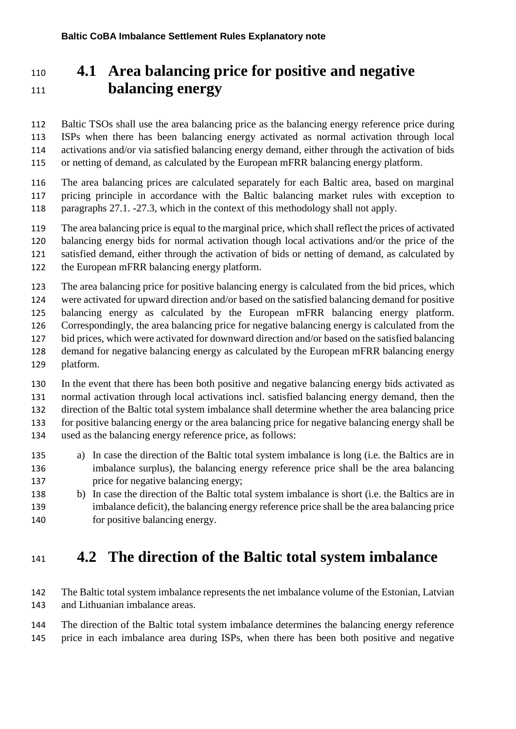# **4.1 Area balancing price for positive and negative balancing energy**

 Baltic TSOs shall use the area balancing price as the balancing energy reference price during ISPs when there has been balancing energy activated as normal activation through local activations and/or via satisfied balancing energy demand, either through the activation of bids or netting of demand, as calculated by the European mFRR balancing energy platform.

 The area balancing prices are calculated separately for each Baltic area, based on marginal pricing principle in accordance with the Baltic balancing market rules with exception to paragraphs 27.1. -27.3, which in the context of this methodology shall not apply.

The area balancing price is equal to the marginal price, which shall reflect the prices of activated

balancing energy bids for normal activation though local activations and/or the price of the

satisfied demand, either through the activation of bids or netting of demand, as calculated by

the European mFRR balancing energy platform.

 The area balancing price for positive balancing energy is calculated from the bid prices, which were activated for upward direction and/or based on the satisfied balancing demand for positive balancing energy as calculated by the European mFRR balancing energy platform. Correspondingly, the area balancing price for negative balancing energy is calculated from the

- bid prices, which were activated for downward direction and/or based on the satisfied balancing demand for negative balancing energy as calculated by the European mFRR balancing energy
- platform.

 In the event that there has been both positive and negative balancing energy bids activated as normal activation through local activations incl. satisfied balancing energy demand, then the direction of the Baltic total system imbalance shall determine whether the area balancing price for positive balancing energy or the area balancing price for negative balancing energy shall be used as the balancing energy reference price, as follows:

- a) In case the direction of the Baltic total system imbalance is long (i.e. the Baltics are in imbalance surplus), the balancing energy reference price shall be the area balancing 137 price for negative balancing energy;
- b) In case the direction of the Baltic total system imbalance is short (i.e. the Baltics are in imbalance deficit), the balancing energy reference price shall be the area balancing price for positive balancing energy.

### **4.2 The direction of the Baltic total system imbalance**

 The Baltic total system imbalance represents the net imbalance volume of the Estonian, Latvian and Lithuanian imbalance areas.

 The direction of the Baltic total system imbalance determines the balancing energy reference price in each imbalance area during ISPs, when there has been both positive and negative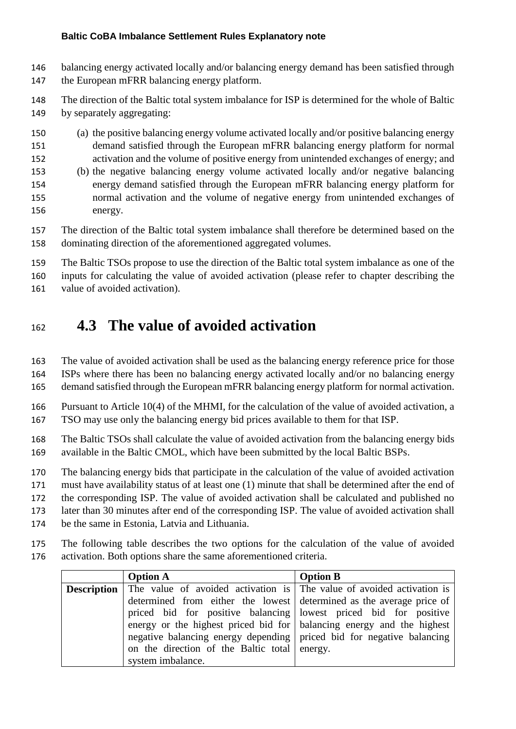- balancing energy activated locally and/or balancing energy demand has been satisfied through the European mFRR balancing energy platform.
- The direction of the Baltic total system imbalance for ISP is determined for the whole of Baltic by separately aggregating:
- (a) the positive balancing energy volume activated locally and/or positive balancing energy demand satisfied through the European mFRR balancing energy platform for normal activation and the volume of positive energy from unintended exchanges of energy; and
- (b) the negative balancing energy volume activated locally and/or negative balancing energy demand satisfied through the European mFRR balancing energy platform for normal activation and the volume of negative energy from unintended exchanges of energy.
- The direction of the Baltic total system imbalance shall therefore be determined based on the dominating direction of the aforementioned aggregated volumes.
- The Baltic TSOs propose to use the direction of the Baltic total system imbalance as one of the inputs for calculating the value of avoided activation (please refer to chapter describing the value of avoided activation).

# **4.3 The value of avoided activation**

 The value of avoided activation shall be used as the balancing energy reference price for those ISPs where there has been no balancing energy activated locally and/or no balancing energy demand satisfied through the European mFRR balancing energy platform for normal activation.

 Pursuant to Article 10(4) of the MHMI, for the calculation of the value of avoided activation, a TSO may use only the balancing energy bid prices available to them for that ISP.

- The Baltic TSOs shall calculate the value of avoided activation from the balancing energy bids available in the Baltic CMOL, which have been submitted by the local Baltic BSPs.
- The balancing energy bids that participate in the calculation of the value of avoided activation

must have availability status of at least one (1) minute that shall be determined after the end of

the corresponding ISP. The value of avoided activation shall be calculated and published no

later than 30 minutes after end of the corresponding ISP. The value of avoided activation shall

- be the same in Estonia, Latvia and Lithuania.
- The following table describes the two options for the calculation of the value of avoided activation. Both options share the same aforementioned criteria.

| <b>Option A</b>                                                                          | <b>Option B</b> |
|------------------------------------------------------------------------------------------|-----------------|
| <b>Description</b> The value of avoided activation is The value of avoided activation is |                 |
| determined from either the lowest determined as the average price of                     |                 |
| priced bid for positive balancing bowest priced bid for positive                         |                 |
| energy or the highest priced bid for balancing energy and the highest                    |                 |
| negative balancing energy depending priced bid for negative balancing                    |                 |
| on the direction of the Baltic total energy.                                             |                 |
| system imbalance.                                                                        |                 |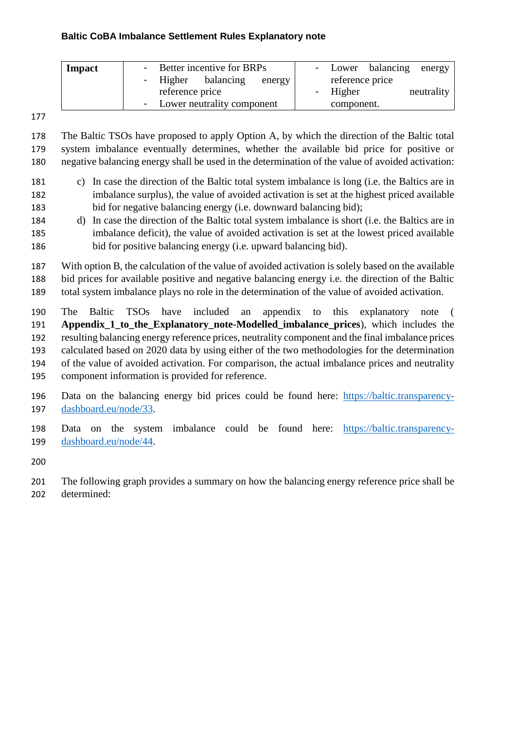| Impact | - Better incentive for BRPs  | - Lower balancing energy |
|--------|------------------------------|--------------------------|
|        | - Higher balancing<br>energy | reference price          |
|        | reference price              | neutrality<br>- Higher   |
|        | - Lower neutrality component | component.               |

 The Baltic TSOs have proposed to apply Option A, by which the direction of the Baltic total system imbalance eventually determines, whether the available bid price for positive or negative balancing energy shall be used in the determination of the value of avoided activation:

- c) In case the direction of the Baltic total system imbalance is long (i.e. the Baltics are in imbalance surplus), the value of avoided activation is set at the highest priced available bid for negative balancing energy (i.e. downward balancing bid);
- d) In case the direction of the Baltic total system imbalance is short (i.e. the Baltics are in imbalance deficit), the value of avoided activation is set at the lowest priced available bid for positive balancing energy (i.e. upward balancing bid).

 With option B, the calculation of the value of avoided activation is solely based on the available bid prices for available positive and negative balancing energy i.e. the direction of the Baltic total system imbalance plays no role in the determination of the value of avoided activation.

 The Baltic TSOs have included an appendix to this explanatory note ( **Appendix\_1\_to\_the\_Explanatory\_note-Modelled\_imbalance\_prices**), which includes the resulting balancing energy reference prices, neutrality component and the final imbalance prices calculated based on 2020 data by using either of the two methodologies for the determination of the value of avoided activation. For comparison, the actual imbalance prices and neutrality component information is provided for reference.

- Data on the balancing energy bid prices could be found here: [https://baltic.transparency-](https://baltic.transparency-dashboard.eu/node/33)[dashboard.eu/node/33.](https://baltic.transparency-dashboard.eu/node/33)
- Data on the system imbalance could be found here: [https://baltic.transparency-](https://baltic.transparency-dashboard.eu/node/44)[dashboard.eu/node/44.](https://baltic.transparency-dashboard.eu/node/44)

 The following graph provides a summary on how the balancing energy reference price shall be determined: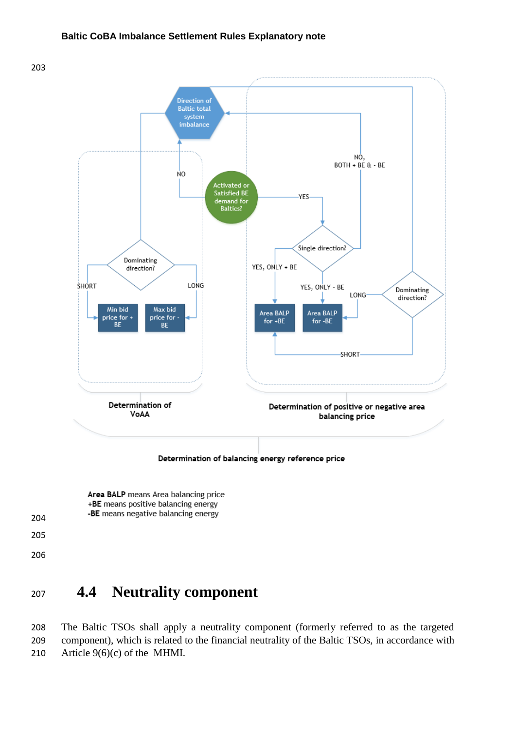

Determination of balancing energy reference price

Area BALP means Area balancing price +BE means positive balancing energy -BE means negative balancing energy

- 
- 

### **4.4 Neutrality component**

 The Baltic TSOs shall apply a neutrality component (formerly referred to as the targeted component), which is related to the financial neutrality of the Baltic TSOs, in accordance with Article 9(6)(c) of the MHMI.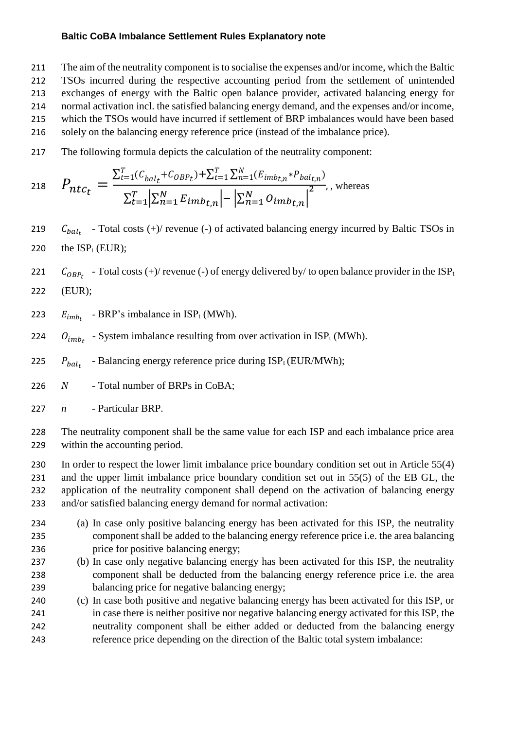The aim of the neutrality component is to socialise the expenses and/or income, which the Baltic TSOs incurred during the respective accounting period from the settlement of unintended exchanges of energy with the Baltic open balance provider, activated balancing energy for normal activation incl. the satisfied balancing energy demand, and the expenses and/or income, which the TSOs would have incurred if settlement of BRP imbalances would have been based solely on the balancing energy reference price (instead of the imbalance price).

217 The following formula depicts the calculation of the neutrality component:

218 
$$
P_{ntc_t} = \frac{\sum_{t=1}^{T} (C_{bal_t} + C_{OBP_t}) + \sum_{t=1}^{T} \sum_{n=1}^{N} (E_{imb_{t,n}} * P_{bal_{t,n}})}{\sum_{t=1}^{T} |\sum_{n=1}^{N} E_{imb_{t,n}}| - |\sum_{n=1}^{N} O_{imb_{t,n}}|^2},
$$
whereas

- 219  $C_{bal_t}$  Total costs (+)/ revenue (-) of activated balancing energy incurred by Baltic TSOs in 220 the  $ISP_t$  (EUR);
- 221  $C_{OBP_t}$  Total costs (+)/ revenue (-) of energy delivered by/ to open balance provider in the ISP<sub>t</sub>
- 222 (EUR);
- 223  $E_{imb_t}$  BRP's imbalance in ISP<sub>t</sub> (MWh).
- 224  $O_{imb_t}$  System imbalance resulting from over activation in ISP<sub>t</sub> (MWh).
- $P_{halc}$ 225  $P_{bal}$  - Balancing energy reference price during ISP<sub>t</sub> (EUR/MWh);
- 226 *N* Total number of BRPs in CoBA;
- 227 *n* Particular BRP.

228 The neutrality component shall be the same value for each ISP and each imbalance price area 229 within the accounting period.

- 230 In order to respect the lower limit imbalance price boundary condition set out in Article 55(4) 231 and the upper limit imbalance price boundary condition set out in 55(5) of the EB GL, the 232 application of the neutrality component shall depend on the activation of balancing energy 233 and/or satisfied balancing energy demand for normal activation:
- 234 (a) In case only positive balancing energy has been activated for this ISP, the neutrality 235 component shall be added to the balancing energy reference price i.e. the area balancing 236 price for positive balancing energy;
- 237 (b) In case only negative balancing energy has been activated for this ISP, the neutrality 238 component shall be deducted from the balancing energy reference price i.e. the area 239 balancing price for negative balancing energy;
- 240 (c) In case both positive and negative balancing energy has been activated for this ISP, or 241 in case there is neither positive nor negative balancing energy activated for this ISP, the 242 neutrality component shall be either added or deducted from the balancing energy 243 reference price depending on the direction of the Baltic total system imbalance: